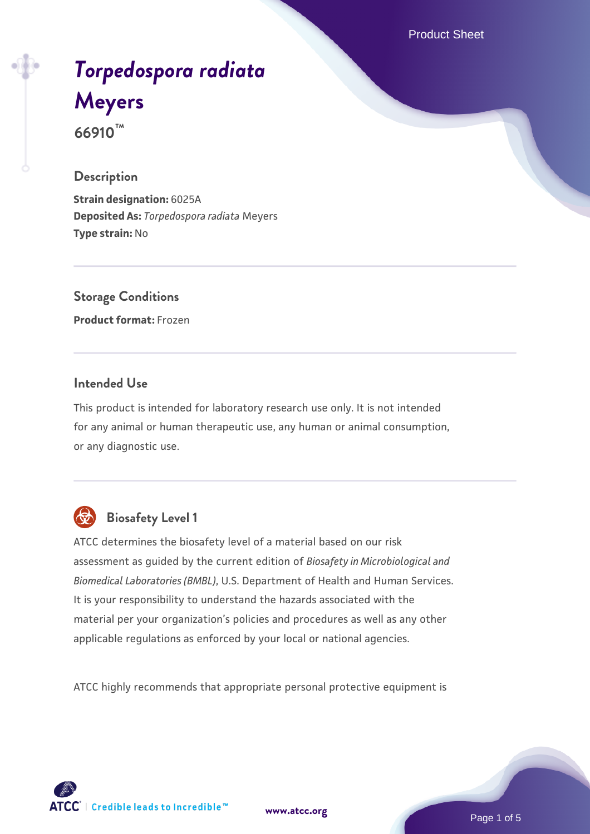Product Sheet

# *[Torpedospora radiata](https://www.atcc.org/products/66910)* **[Meyers](https://www.atcc.org/products/66910) 66910™**

#### **Description**

**Strain designation:** 6025A **Deposited As:** *Torpedospora radiata* Meyers **Type strain:** No

**Storage Conditions Product format:** Frozen

# **Intended Use**

This product is intended for laboratory research use only. It is not intended for any animal or human therapeutic use, any human or animal consumption, or any diagnostic use.



# **Biosafety Level 1**

ATCC determines the biosafety level of a material based on our risk assessment as guided by the current edition of *Biosafety in Microbiological and Biomedical Laboratories (BMBL)*, U.S. Department of Health and Human Services. It is your responsibility to understand the hazards associated with the material per your organization's policies and procedures as well as any other applicable regulations as enforced by your local or national agencies.

ATCC highly recommends that appropriate personal protective equipment is

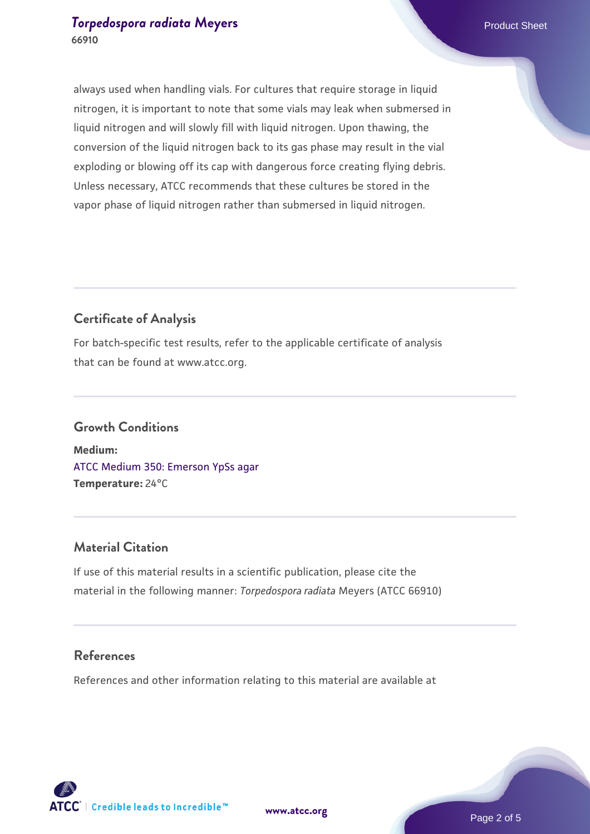#### **[Torpedospora radiata](https://www.atcc.org/products/66910) [Meyers](https://www.atcc.org/products/66910) Product Sheet** Product Sheet **66910**

always used when handling vials. For cultures that require storage in liquid nitrogen, it is important to note that some vials may leak when submersed in liquid nitrogen and will slowly fill with liquid nitrogen. Upon thawing, the conversion of the liquid nitrogen back to its gas phase may result in the vial exploding or blowing off its cap with dangerous force creating flying debris. Unless necessary, ATCC recommends that these cultures be stored in the vapor phase of liquid nitrogen rather than submersed in liquid nitrogen.

# **Certificate of Analysis**

For batch-specific test results, refer to the applicable certificate of analysis that can be found at www.atcc.org.

# **Growth Conditions**

**Medium:**  [ATCC Medium 350: Emerson YpSs agar](https://www.atcc.org/-/media/product-assets/documents/microbial-media-formulations/3/5/0/atcc-medium-350.pdf?rev=d31d155d380a449c8b75f2d802bfc573) **Temperature:** 24°C

# **Material Citation**

If use of this material results in a scientific publication, please cite the material in the following manner: *Torpedospora radiata* Meyers (ATCC 66910)

#### **References**

References and other information relating to this material are available at



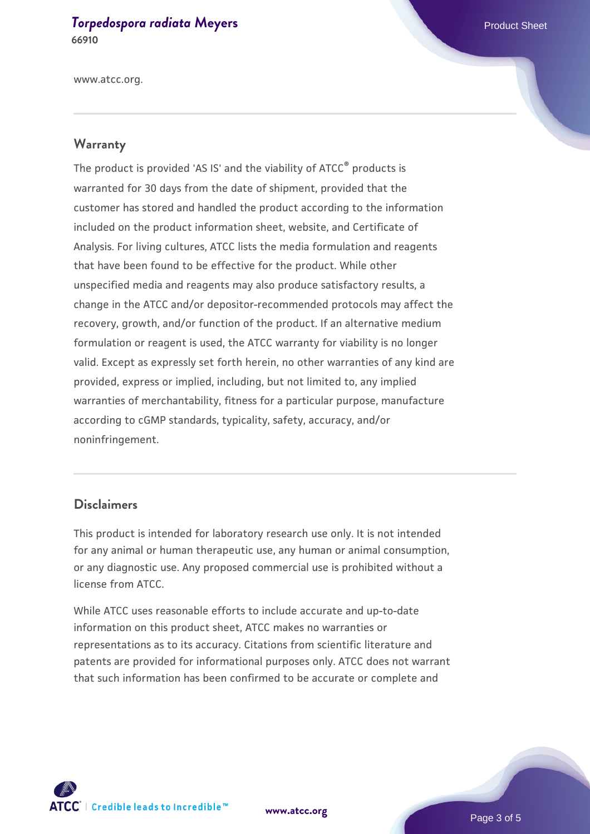#### **[Torpedospora radiata](https://www.atcc.org/products/66910) [Meyers](https://www.atcc.org/products/66910) Product Sheet** Product Sheet **66910**

www.atcc.org.

#### **Warranty**

The product is provided 'AS IS' and the viability of ATCC® products is warranted for 30 days from the date of shipment, provided that the customer has stored and handled the product according to the information included on the product information sheet, website, and Certificate of Analysis. For living cultures, ATCC lists the media formulation and reagents that have been found to be effective for the product. While other unspecified media and reagents may also produce satisfactory results, a change in the ATCC and/or depositor-recommended protocols may affect the recovery, growth, and/or function of the product. If an alternative medium formulation or reagent is used, the ATCC warranty for viability is no longer valid. Except as expressly set forth herein, no other warranties of any kind are provided, express or implied, including, but not limited to, any implied warranties of merchantability, fitness for a particular purpose, manufacture according to cGMP standards, typicality, safety, accuracy, and/or noninfringement.

#### **Disclaimers**

This product is intended for laboratory research use only. It is not intended for any animal or human therapeutic use, any human or animal consumption, or any diagnostic use. Any proposed commercial use is prohibited without a license from ATCC.

While ATCC uses reasonable efforts to include accurate and up-to-date information on this product sheet, ATCC makes no warranties or representations as to its accuracy. Citations from scientific literature and patents are provided for informational purposes only. ATCC does not warrant that such information has been confirmed to be accurate or complete and



**[www.atcc.org](http://www.atcc.org)**

Page 3 of 5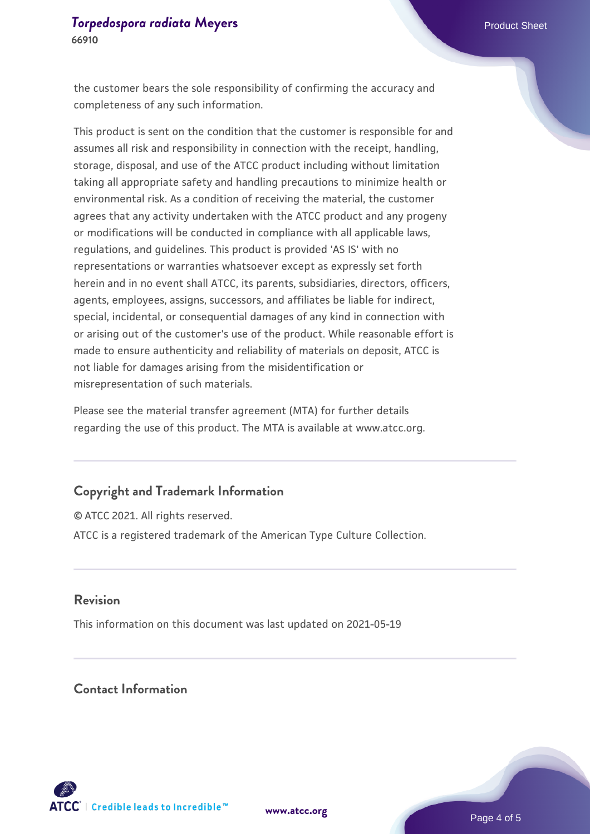the customer bears the sole responsibility of confirming the accuracy and completeness of any such information.

This product is sent on the condition that the customer is responsible for and assumes all risk and responsibility in connection with the receipt, handling, storage, disposal, and use of the ATCC product including without limitation taking all appropriate safety and handling precautions to minimize health or environmental risk. As a condition of receiving the material, the customer agrees that any activity undertaken with the ATCC product and any progeny or modifications will be conducted in compliance with all applicable laws, regulations, and guidelines. This product is provided 'AS IS' with no representations or warranties whatsoever except as expressly set forth herein and in no event shall ATCC, its parents, subsidiaries, directors, officers, agents, employees, assigns, successors, and affiliates be liable for indirect, special, incidental, or consequential damages of any kind in connection with or arising out of the customer's use of the product. While reasonable effort is made to ensure authenticity and reliability of materials on deposit, ATCC is not liable for damages arising from the misidentification or misrepresentation of such materials.

Please see the material transfer agreement (MTA) for further details regarding the use of this product. The MTA is available at www.atcc.org.

#### **Copyright and Trademark Information**

© ATCC 2021. All rights reserved. ATCC is a registered trademark of the American Type Culture Collection.

#### **Revision**

This information on this document was last updated on 2021-05-19

# **Contact Information**